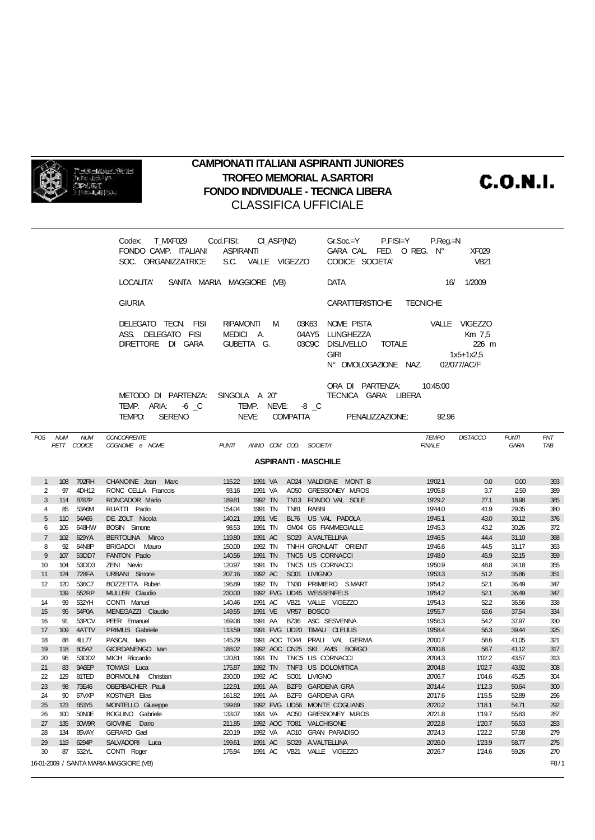

## **CAMPIONATI ITALIANI ASPIRANTI JUNIORES TROFEO MEMORIAL A.SARTORI FONDO INDIVIDUALE - TECNICA LIBERA** CLASSIFICA UFFICIALE

**C.O.N.I.** 

| Codex: T_MXF029 Cod.FISI: CI_ASP(N2)<br>FONDO CAMP. ITALIANI ASPIRANTI CARA CAL FED. O REG. N°<br>SOC. ORGANIZZATRICE S.C. VALLE VIGEZZO                      | $Gr.Soc = Y$ P.FISI= $Y$ P.Req.=N<br><b>XF029</b><br>$V$ B21<br>CODICE SOCIETA'                       |
|---------------------------------------------------------------------------------------------------------------------------------------------------------------|-------------------------------------------------------------------------------------------------------|
| LOCALITA' SANTA MARIA MAGGIORE (VB)                                                                                                                           | <b>DATA</b><br>1/2009<br>16/                                                                          |
| <b>GIURIA</b>                                                                                                                                                 | CARATTERISTICHE TECNICHE                                                                              |
| RIPAMONTI M<br>DELEGATO TECN. FISI<br>03K63<br>ASS. DELEGATO FISI<br>MEDICI A. 04AY5 LUNGHEZZA<br>DIRETTORE DI GARA GUBETTA G. 03C9C DISLIVELLO TOTALE 6226 m | VALLE VIGEZZO<br>NOME PISTA<br>Km 7.5<br><b>GIRI</b><br>1x5+1x2,5<br>N° OMOLOGAZIONE NAZ. 02/077/AC/F |
| METODO DI PARTENZA:<br>SINGOLA A 20"<br>TEMP. ARIA: 6 C<br>TEMP. NEVE: -8 C<br>NEVE:<br><b>SERENO</b><br><b>COMPATTA</b><br>TEMPO.                            | ORA DI PARTENZA:<br>10.45.00<br>TECNICA GARA: LIBERA<br>PENALIZZAZIONE:<br>92.96                      |

| <b>POS</b>                  | <b>NUM</b> | <b>NUM</b>   | <b>CONCORRENTE</b>                     |              |                        |                  |                               | <b>TEMPO</b>  | <b>DISTACCO</b> | <b>PUNTI</b> | <b>PNT</b> |
|-----------------------------|------------|--------------|----------------------------------------|--------------|------------------------|------------------|-------------------------------|---------------|-----------------|--------------|------------|
|                             |            | PETT CODICE  | COGNOME e NOME                         | <b>PUNTI</b> | ANNO COM COD. SOCIETA' |                  |                               | <b>FINALE</b> |                 | <b>GARA</b>  | <b>TAB</b> |
| <b>ASPIRANTI - MASCHILE</b> |            |              |                                        |              |                        |                  |                               |               |                 |              |            |
|                             |            |              |                                        |              |                        |                  |                               |               |                 |              |            |
| $\overline{1}$              | 108        | 702RH        | CHANOINE Jean Marc                     | 115.22       | 1991 VA                |                  | AO24 VALDIGNE MONT B          | 19'02.1       | 0.0             | 0.00         | 393        |
| 2                           | 97         | 4DH12        | RONC CELLA Francois                    | 93.16        | 1991 VA                |                  | AO50 GRESSONEY M.ROS          | 19'05.8       | 3.7             | 2.59         | 389        |
| 3                           | 114        | 8787P        | RONCADOR Mario                         | 189.81       | 1992 TN                |                  | TN13 FONDO VAL SOLE           | 19'29.2       | 27.1            | 18.98        | 385        |
| $\overline{4}$              | 85         | 53A6M        | RUATTI Paolo                           | 154.04       | 1991 TN                | <b>TN81</b>      | <b>RABBI</b>                  | 19'44.0       | 41.9            | 29.35        | 380        |
| 5                           | 110        | 54A65        | DE ZOLT Nicola                         | 140.21       | 1991 VE                | <b>BL76</b>      | US VAL PADOLA                 | 19'45.1       | 43.0            | 30.12        | 376        |
| 6                           | 105        | 648HW        | <b>BOSIN</b> Simone                    | 98.53        | 1991 TN                |                  | GM04 GS FIAMMEGIALLE          | 19'45.3       | 43.2            | 30.26        | 372        |
| $\overline{7}$              | 102        | 629YA        | BERTOLINA Mirco                        | 119.80       | 1991 AC                |                  | SO29 A.VALTELLINA             | 19'46.5       | 44.4            | 31.10        | 368        |
| 8                           | 92         | 64N8P        | BRIGADOI Mauro                         | 150.00       | 1992 TN                |                  | TNHH GRONLAIT ORIENT          | 19'46.6       | 44.5            | 31.17        | 363        |
| 9                           | 107        | 53DD7        | FANTON Paolo                           | 140.56       | 1991 TN                |                  | TNC5 US CORNACCI              | 19'48.0       | 45.9            | 32.15        | 359        |
| 10                          | 104        | 53DD3        | ZENI Nevio                             | 120.97       | 1991 TN                |                  | TNC5 US CORNACCI              | 19'50.9       | 48.8            | 34.18        | 355        |
| 11                          | 124        | 728FA        | URBANI Simone                          | 207.16       | 1992 AC                |                  | SO01 LIVIGNO                  | 19'53.3       | 51.2            | 35.86        | 351        |
| 12                          | 120        | 536C7        | BOZZETTA Ruben                         | 196.89       | 1992 TN                |                  | TN30 PRIMIERO S.MART          | 19'54.2       | 52.1            | 36.49        | 347        |
|                             | 139        | 552RP        | MULLER Claudio                         | 230.00       |                        |                  | 1992 FVG UD45 WEISSENFELS     | 19'54.2       | 52.1            | 36.49        | 347        |
| 14                          | 99         | 532YH        | CONTI Manuel                           | 140.46       | 1991 AC                | <b>VB21</b>      | VALLE VIGEZZO                 | 19'54.3       | 52.2            | 36.56        | 338        |
| 15                          | 95         | 54P0A        | MENEGAZZI Claudio                      | 149.55       | 1991 VE                | <b>VR57</b>      | <b>BOSCO</b>                  | 19'55.7       | 53.6            | 37.54        | 334        |
| 16                          | 91         | 53PCV        | PEER Emanuel                           | 169.08       | 1991 AA                | <b>BZ36</b>      | ASC SESVENNA                  | 19'56.3       | 54.2            | 37.97        | 330        |
| 17                          | 109        | 4ATTV        | PRIMUS Gabriele                        | 113.59       |                        |                  | 1991 FVG UD20 TIMAU CLEULIS   | 19'58.4       | 56.3            | 39.44        | 325        |
| 18                          | 88         | <b>4LL77</b> | PASCAL Ivan                            | 145.29       |                        |                  | 1991 AOC TO44 PRALI VAL GERMA | 20'00.7       | 58.6            | 41.05        | 321        |
| 19                          | 118        | 605A2        | GIORDANENGO Ivan                       | 188.02       |                        |                  | 1992 AOC CN25 SKI AVIS BORGO  | 20'00.8       | 58.7            | 41.12        | 317        |
| 20                          | 96         | 53DD2        | MICH Riccardo                          | 120.81       | 1991 TN                |                  | TNC5 US CORNACCI              | 20'04.3       | 1'02.2          | 43.57        | 313        |
| 21                          | 83         | 9A6EP        | <b>TOMASI</b> Luca                     | 175.87       | 1992 TN                |                  | TNF3 US DOLOMITICA            | 20'04.8       | 1'02.7          | 43.92        | 308        |
| 22                          | 129        | 81TED        | <b>BORMOLINI</b> Christian             | 230.00       | 1992 AC                |                  | SO01 LIVIGNO                  | 20'06.7       | 1'04.6          | 45.25        | 304        |
| 23                          | 98         | 73E46        | OBERBACHER Pauli                       | 122.91       | 1991 AA                |                  | BZF9 GARDENA GRA              | 20'14.4       | 1'12.3          | 50.64        | 300        |
| 24                          | 90         | 67VXP        | <b>KOSTNER Elias</b>                   | 161.82       | 1991 AA                |                  | BZF9 GARDENA GRA              | 20'17.6       | 1'15.5          | 52.89        | 296        |
| 25                          | 123        | 653Y5        | <b>MONTELLO Giuseppe</b>               | 199.69       |                        |                  | 1992 FVG UD56 MONTE COGLIANS  | 20'20.2       | 1'18.1          | 54.71        | 292        |
| 26                          | 100        | 50NOE        | BOGLINO Gabriele                       | 133.07       | 1991 VA                |                  | AO50 GRESSONEY M.ROS          | 20'21.8       | 1'19.7          | 55.83        | 287        |
| 27                          | 135        | 50W9R        | GIOVINE Dario                          | 211.85       | 1992 ACC TO81          |                  | <b>VALCHISONE</b>             | 20'22.8       | 1'20.7          | 56.53        | 283        |
| 28                          | 134        | 85VAY        | GERARD Gael                            | 220.19       | 1992 VA                | AO10             | <b>GRAN PARADISO</b>          | 20'24.3       | 1'22.2          | 57.58        | 279        |
| 29                          | 119        | 6294P        | SALVADORI Luca                         | 199.61       | 1991 AC                | SO <sub>29</sub> | <b>A.VALTELLINA</b>           | 20'26.0       | 1'23.9          | 58.77        | 275        |
| 30                          | 87         | 532YL        | CONTI Roger                            | 176.94       | 1991 AC                | <b>VB21</b>      | VALLE VIGEZZO                 | 20'26.7       | 1'24.6          | 59.26        | 270        |
|                             |            |              | 16-01-2009 / SANTA MARIA MAGGIORE (VB) |              |                        |                  |                               |               |                 |              | F8/1       |
|                             |            |              |                                        |              |                        |                  |                               |               |                 |              |            |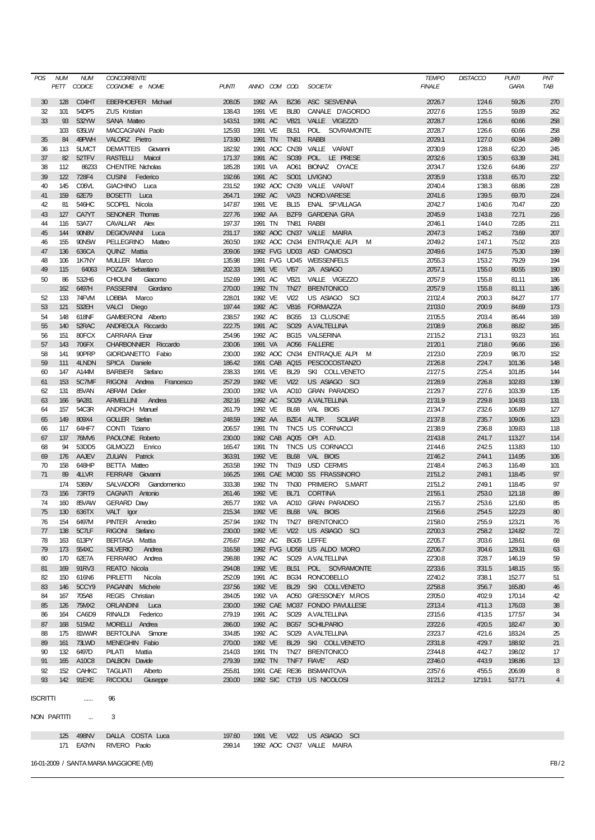| POS | <b>NUM</b>       | <b>NUM</b>   | <b>CONCORRENTE</b>           |              |               |                  |                                  | <b>TEMPO</b>  | <b>DISTACCO</b> | <b>PUNTI</b> | PNT            |
|-----|------------------|--------------|------------------------------|--------------|---------------|------------------|----------------------------------|---------------|-----------------|--------------|----------------|
|     |                  | PETT CODICE  | COGNOME e NOME               | <b>PUNTI</b> | ANNO COM COD. |                  | SOCIETA'                         | <b>FINALE</b> |                 | GARA         | TAB            |
|     |                  |              |                              |              |               |                  |                                  |               |                 |              |                |
| 30  | 128              | C04HT        | EBERHOEFER Michael           | 208.05       | 1992 AA       | <b>BZ36</b>      | ASC SESVENNA                     | 20'26.7       | 1'24.6          | 59.26        | 270            |
| 32  | 101              | 54DP5        | <b>ZUS Kristian</b>          | 138.43       | 1991 VE       | <b>BL80</b>      | CANALE D'AGORDO                  | 20'27.6       | 1'25.5          | 59.89        | 262            |
| 33  | 93               | 532YW        | <b>SANA Matteo</b>           | 143.51       | 1991 AC       | <b>VB21</b>      | VALLE VIGEZZO                    | 20'28.7       | 1'26.6          | 60.66        | 258            |
|     | 103              | 635LW        | MACCAGNAN Paolo              | 125.93       | 1991 VE       | <b>BL51</b>      | POL.<br><b>SOVRAMONTE</b>        | 20'28.7       | 1'26.6          | 60.66        | 258            |
| 35  | 84               | 49PWH        | VALORZ Pietro                | 173.90       | 1991 TN       | <b>TN81</b>      | <b>RABBI</b>                     | 20'29.1       | 1'27.0          | 60.94        | 249            |
| 36  | 113              | 5LMCT        | <b>DEMATTEIS</b><br>Giovanni | 182.92       |               | 1991 ACC CN39    | VALLE VARAIT                     | 20'30.9       | 1'28.8          | 62.20        | 245            |
|     |                  |              |                              |              |               |                  |                                  |               |                 |              |                |
| 37  | 82               | 52TFV        | <b>RASTELLI</b><br>Maicol    | 171.37       | 1991 AC       | SO39             | POL LE PRESE                     | 20'32.6       | 1'30.5          | 63.39        | 241            |
| 38  | 112              | 86233        | <b>CHENTRE Nicholas</b>      | 185.28       | 1991 VA       | AO61             | BIONAZ OYACE                     | 20'34.7       | 1'32.6          | 64.86        | 237            |
| 39  | 122              | 728F4        | <b>CUSINI</b><br>Federico    | 192.66       | 1991 AC       | <b>SO01</b>      | <b>LIVIGNO</b>                   | 20'35.9       | 1'33.8          | 65.70        | 232            |
| 40  | 145              | C06VL        | GIACHINO Luca                | 231.52       |               | 1992 AOC CN39    | VALLE VARAIT                     | 20'40.4       | 1'38.3          | 68.86        | 228            |
| 41  | 159              | 62E79        | BOSETTI Luca                 | 264.71       | 1992 AC       | <b>VA23</b>      | NORD.VARESE                      | 20'41.6       | 1'39.5          | 69.70        | 224            |
| 42  | 81               | 546HC        | SCOPEL Nicola                | 147.87       | 1991 VE       | <b>BL15</b>      | ENAL SP.VILLAGA                  | 20'42.7       | 1'40.6          | 70.47        | 220            |
| 43  | 127              | CA7YT        | <b>SENONER Thomas</b>        | 227.76       | 1992 AA       | BZF9             | <b>GARDENA GRA</b>               | 20'45.9       | 1'43.8          | 72.71        | 216            |
| 44  | 116              | 53A77        | CAVALLAR Alex                | 197.37       | 1991 TN       | <b>TN81</b>      | <b>RABBI</b>                     | 20'46.1       | 1'44.0          | 72.85        | 211            |
|     |                  |              |                              |              |               |                  |                                  |               |                 |              |                |
| 45  | 144              | 90N8V        | <b>DEGIOVANNI</b><br>Luca    | 231.17       |               |                  | 1992 AOC CN37 VALLE MAIRA        | 20'47.3       | 1'45.2          | 73.69        | 207            |
| 46  | 155              | 90N5W        | PELLEGRINO Matteo            | 260.50       |               |                  | 1992 AOC CN34 ENTRAQUE ALPI<br>м | 20'49.2       | 1'47.1          | 75.02        | 203            |
| 47  | 136              | 636CA        | QUINZ Mattia                 | 209.06       |               |                  | 1992 FVG UD03 ASD CAMOSCI        | 20'49.6       | 1'47.5          | 75.30        | 199            |
| 48  | 106              | 1K7NY        | MULLER Marco                 | 135.98       |               |                  | 1991 FVG UD45 WEISSENFELS        | 20'55.3       | 1'53.2          | 79.29        | 194            |
| 49  | 115              | 64063        | POZZA Sebastiano             | 202.33       | 1991 VE       | <b>VI57</b>      | 2A ASIAGO                        | 20'57.1       | 1'55.0          | 80.55        | 190            |
| 50  | 86               | 532H6        | <b>CHIOLINI</b><br>Giacomo   | 152.69       | 1991 AC       | <b>VB21</b>      | VALLE VIGEZZO                    | 20'57.9       | 1'55.8          | 81.11        | 186            |
|     | 162              | 6497H        | <b>PASSERINI</b><br>Giordano | 270.00       | 1992 TN       | <b>TN27</b>      | <b>BRENTONICO</b>                | 20'57.9       | 1'55.8          | 81.11        | 186            |
| 52  | 133              | 74FVM        | LOBBIA Marco                 | 228.01       | 1992 VE       | V122             | US ASIAGO SCI                    | 21'02.4       | 2'00.3          | 84.27        | 177            |
|     |                  |              |                              |              |               | <b>VB16</b>      |                                  |               |                 |              |                |
| 53  | 121              | 532EH        | VALCI Diego                  | 197.44       | 1992 AC       |                  | <b>FORMAZZA</b>                  | 21'03.0       | 2'00.9          | 84.69        | 173            |
| 54  | 148              | 618NF        | GAMBERONI Alberto            | 238.57       | 1992 AC       | <b>BG55</b>      | 13 CLUSONE                       | 21'05.5       | 2'03.4          | 86.44        | 169            |
| 55  | 140              | 52RAC        | ANDREOLA Riccardo            | 222.75       | 1991 AC       | SO <sub>29</sub> | <b>A.VALTELLINA</b>              | 21'08.9       | 2'06.8          | 88.82        | 165            |
| 56  | 151              | 80FCX        | <b>CARRARA Einar</b>         | 254.96       | 1992 AC       |                  | BG15 VALSERINA                   | 21'15.2       | 2'13.1          | 93.23        | 161            |
| 57  | 143              | 706FX        | CHARBONNIER Riccardo         | 230.06       | 1991 VA       |                  | AO56 FALLERE                     | 21'20.1       | 2'18.0          | 96.66        | 156            |
| 58  | 141              | 90PRP        | GIORDANETTO Fabio            | 230.00       |               |                  | 1992 AOC CN34 ENTRAQUE ALPI<br>м | 21'23.0       | 2'20.9          | 98.70        | 152            |
| 59  | 111              | 4LNDN        | SPICA Daniele                | 186.42       |               | 1991 CAB AQ15    | PESCOCOSTANZO                    | 21'26.8       | 2'24.7          | 101.36       | 148            |
| 60  | 147              | A144M        | <b>BARBIERI</b><br>Stefano   | 238.33       | 1991 VE       | <b>BL29</b>      | SKI COLLVENETO                   | 21'27.5       | 2'25.4          | 101.85       | 144            |
|     | 153              | 5C7MF        | RIGONI Andrea                | 257.29       | 1992 VE       | V122             | US ASIAGO SCI                    | 21'28.9       | 2'26.8          | 102.83       |                |
| 61  |                  |              | Francesco                    |              |               |                  |                                  |               |                 |              | 139            |
| 62  | 131              | 85VAN        | <b>ABRAM Didier</b>          | 230.00       | 1992 VA       | AO10             | <b>GRAN PARADISO</b>             | 21'29.7       | 2'27.6          | 103.39       | 135            |
| 63  | 166              | 9A281        | <b>ARMELLINI</b><br>Andrea   | 282.16       | 1992 AC       | SO <sub>29</sub> | <b>A.VALTELLINA</b>              | 21'31.9       | 2'29.8          | 104.93       | 131            |
| 64  | 157              | 54C3R        | <b>ANDRICH Manuel</b>        | 261.79       | 1992 VE       | <b>BL68</b>      | VAL BIOIS                        | 21'34.7       | 2'32.6          | 106.89       | 127            |
| 65  | 149              | 809X4        | <b>GOLLER</b> Stefan         | 248.59       | 1992 AA       |                  | BZE4 ALTIP.<br><b>SCILIAR</b>    | 21'37.8       | 2'35.7          | 109.06       | 123            |
| 66  | 117              | 64HF7        | CONTI Tiziano                | 206.57       | 1991 TN       |                  | TNC5 US CORNACCI                 | 21'38.9       | 2'36.8          | 109.83       | 118            |
| 67  | 137              | 76MV6        | PAOLONE Roberto              | 230.00       |               |                  | 1992 CAB AQ05 OPI A.D.           | 21'43.8       | 2'41.7          | 113.27       | 114            |
| 68  | 94               | 53DD5        | <b>GILMOZZI</b><br>Enrico    | 165.47       | 1991 TN       |                  | TNC5 US CORNACCI                 | 21'44.6       | 2'42.5          | 113.83       | 110            |
| 69  | 176              | <b>AAJEV</b> | <b>ZULIAN</b><br>Patrick     | 363.91       | 1992 VE       | <b>BL68</b>      | VAL BIOIS                        | 21'46.2       | 2'44.1          | 114.95       | 106            |
|     |                  |              |                              |              |               |                  |                                  |               |                 |              |                |
| 70  | 158              | 648HP        | <b>BETTA Matteo</b>          | 263.58       | 1992 TN       | <b>TN19</b>      | <b>USD CERMIS</b>                | 21'48.4       | 2'46.3          | 116.49       | 101            |
| 71  | 89               | 4LVR         | FERRARI Giovanni             | 166.25       |               |                  | 1991 CAE MO30 SS FRASSINORO      | 21'51.2       | 2'49.1          | 118.45       | 97             |
|     | 174              | 5369V        | SALVADORI Giandomenico       | 333.38       | 1992 TN       | <b>TN30</b>      | PRIMIERO S.MART                  | 21'51.2       | 2'49.1          | 118.45       | 97             |
| 73  | 156              | 73RT9        | CAGNATI Antonio              | 261.46       | 1992 VE       | <b>BL71</b>      | <b>CORTINA</b>                   | 21'55.1       | 2'53.0          | 121.18       | 89             |
| 74  | 160              | 85VAW        | <b>GERARD Day</b>            | 265.77       | 1992 VA       | AO10             | <b>GRAN PARADISO</b>             | 21'55.7       | 2'53.6          | 121.60       | 85             |
| 75  | 130 <sup>°</sup> | 636TX        | VALT Igor                    | 215.34       | 1992 VE       |                  | BL68 VAL BIOIS                   | 21'56.6       | 2'54.5          | 122.23       | 80             |
| 76  | 154              | 6497M        | PINTER Amedeo                | 257.94       | 1992 TN       | <b>TN27</b>      | <b>BRENTONICO</b>                | 21'58.0       | 255.9           | 123.21       | 76             |
| 77  | 138              | 5C7LF        | RIGONI Stefano               | 230.00       | 1992 VE       | V122             | US ASIAGO SCI                    | 22'00.3       | 2'58.2          | 124.82       | 72             |
| 78  | 163              | 613PY        | <b>BERTASA Mattia</b>        | 276.67       | 1992 AC       | <b>BG05</b>      | LEFFE                            | 22'05.7       | 3'03.6          | 128.61       | 68             |
|     |                  |              |                              |              |               |                  |                                  |               |                 |              |                |
| 79  | 173              | 554XC        | <b>SILVERIO</b><br>Andrea    | 316.58       |               |                  | 1992 FVG UD58 US ALDO MORO       | 22'06.7       | 3'04.6          | 129.31       | 63             |
| 80  | 170              | 62E7A        | FERRARIO Andrea              | 298.88       | 1992 AC       | SO <sub>29</sub> | <b>A.VALTELLINA</b>              | 22'30.8       | 3'28.7          | 146.19       | 59             |
| 81  | 169              | 91RV3        | REATO Nicola                 | 294.08       | 1992 VE       | <b>BL51</b>      | POL. SOVRAMONTE                  | 22'33.6       | 3'31.5          | 148.15       | 55             |
| 82  | 150              | 616N6        | PIRLETTI<br>Nicola           | 252.09       | 1991 AC       |                  | BG34 RONCOBELLO                  | 22'40.2       | 3'38.1          | 152.77       | 51             |
| 83  | 146              | 5CCY9        | PAGANIN Michele              | 237.56       | 1992 VE       | <b>BL29</b>      | SKI COLLVENETO                   | 22'58.8       | 3'56.7          | 165.80       | 46             |
| 84  | 167              | 705A8        | REGIS Christian              | 284.05       | 1992 VA       |                  | AO50 GRESSONEY M.ROS             | 23'05.0       | 4'02.9          | 170.14       | 42             |
| 85  | 126              | 75MX2        | <b>ORLANDINI</b><br>Luca     | 230.00       |               |                  | 1992 CAE MO37 FONDO PAVULLESE    | 23'13.4       | 4'11.3          | 176.03       | 38             |
| 86  | 164              | CA6D9        | <b>RINALDI</b><br>Federico   | 279.19       | 1991 AC       | SO <sub>29</sub> | A.VALTELLINA                     | 23'15.6       | 4'13.5          | 177.57       |                |
|     |                  |              |                              |              |               |                  |                                  |               |                 |              | 34             |
| 87  | 168              | 515M2        | MORELLI Andrea               | 286.00       | 1992 AC       |                  | BG57 SCHILPARIO                  | 23'22.6       | 4'20.5          | 182.47       | 30             |
| 88  | 175              | 81WWR        | BERTOLINA Simone             | 334.85       | 1992 AC       | SO <sub>29</sub> | <b>A.VALTELLINA</b>              | 23'23.7       | 4'21.6          | 183.24       | 25             |
| 89  | 161              | 73LWD        | MENEGHIN Fabio               | 270.00       | 1992 VE       | <b>BL29</b>      | SKI COLLVENETO                   | 23'31.8       | 4'29.7          | 188.92       | 21             |
| 90  | 132              | 6497D        | PILATI<br>Mattia             | 214.03       | 1991 TN       | <b>TN27</b>      | <b>BRENTONICO</b>                | 23'44.8       | 4'42.7          | 198.02       | 17             |
| 91  | 165              | A10C8        | DALBON Davide                | 279.39       | 1992 TN       |                  | TNF7 FIAVE<br><b>ASD</b>         | 23'46.0       | 4'43.9          | 198.86       | 13             |
| 92  | 152              | <b>CAHKC</b> | <b>TAGLIATI</b><br>Alberto   | 255.81       |               | 1991 CAE RE36    | <b>BISMANTOVA</b>                | 23'57.6       | 4'55.5          | 206.99       | 8              |
| 93  | 142              | 91EXE        | <b>RICCIOLI</b><br>Giuseppe  | 230.00       |               |                  | 1992 SIC CT19 US NICOLOSI        | 3121.2        | 12'19.1         | 517.71       | $\overline{4}$ |
|     |                  |              |                              |              |               |                  |                                  |               |                 |              |                |

ISCRITTI ...... 96

NON PARTITI ... 3

 498NV DALLA COSTA Luca 197.60 1991 VE VI22 US ASIAGO SCI EA3YN RIVERO Paolo 299.14 1992 AOC CN37 VALLE MAIRA

16-01-2009 / SANTA MARIA MAGGIORE (VB) F8 / 2